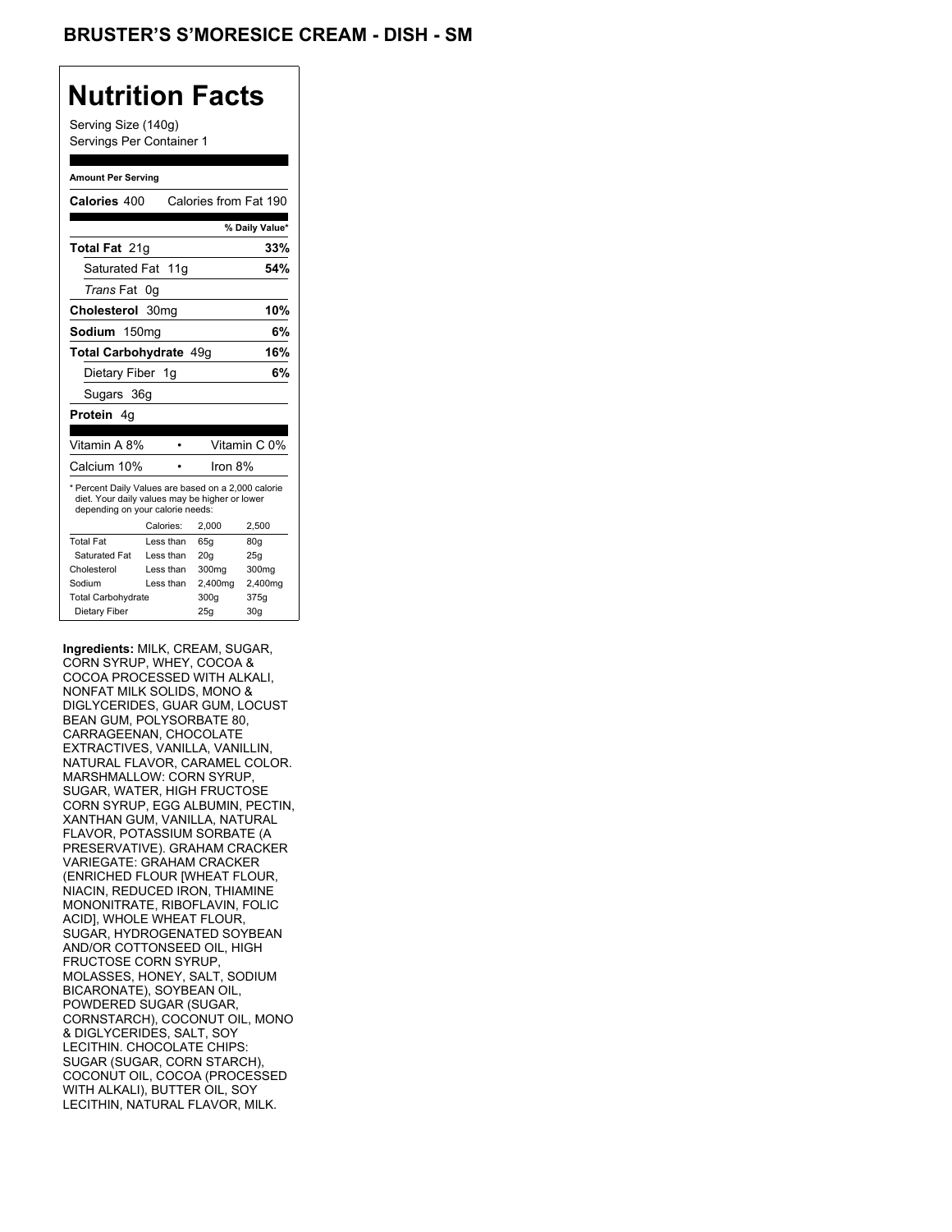### **Nutrition Facts**

Serving Size (140g) Servings Per Container 1

#### **Amount Per Serving**

| Calories 400                                                                                                                                           |    |            | Calories from Fat 190 |                 |
|--------------------------------------------------------------------------------------------------------------------------------------------------------|----|------------|-----------------------|-----------------|
|                                                                                                                                                        |    |            |                       | % Daily Value*  |
| <b>Total Fat 21g</b>                                                                                                                                   |    |            |                       | 33%             |
| Saturated Fat 11g                                                                                                                                      |    |            |                       | 54%             |
| <i>Trans</i> Fat                                                                                                                                       | 0g |            |                       |                 |
| Cholesterol 30mg                                                                                                                                       |    |            |                       | 10%             |
| Sodium 150mg                                                                                                                                           |    |            |                       | 6%              |
| Total Carbohydrate 49g                                                                                                                                 |    |            |                       | 16%             |
| Dietary Fiber 1g                                                                                                                                       |    |            |                       | 6%              |
| Sugars 36g                                                                                                                                             |    |            |                       |                 |
| Protein 4q                                                                                                                                             |    |            |                       |                 |
|                                                                                                                                                        |    |            |                       |                 |
| Vitamin A 8%                                                                                                                                           |    |            |                       | Vitamin C 0%    |
| Calcium 10%                                                                                                                                            |    |            | Iron $8%$             |                 |
| * Percent Daily Values are based on a 2,000 calorie<br>diet. Your daily values may be higher or lower<br>depending on your calorie needs:<br>Calories: |    |            |                       |                 |
| <b>Total Fat</b>                                                                                                                                       |    |            | 2.000                 | 2,500           |
|                                                                                                                                                        |    | Less than  | 65q                   | 80q             |
| Saturated Fat                                                                                                                                          |    | Less than  | 20 <sub>g</sub>       | 25q             |
| Cholesterol                                                                                                                                            |    | I ess than | 300mg                 | 300mg           |
| Sodium                                                                                                                                                 |    | Less than  | 2,400mg               | 2,400mg         |
| <b>Total Carbohydrate</b>                                                                                                                              |    |            | 300g                  | 375g            |
| Dietary Fiber                                                                                                                                          |    |            | 25q                   | 30 <sub>q</sub> |

**Ingredients:** MILK, CREAM, SUGAR, CORN SYRUP, WHEY, COCOA & COCOA PROCESSED WITH ALKALI, NONFAT MILK SOLIDS, MONO & DIGLYCERIDES, GUAR GUM, LOCUST BEAN GUM, POLYSORBATE 80, CARRAGEENAN, CHOCOLATE EXTRACTIVES, VANILLA, VANILLIN, NATURAL FLAVOR, CARAMEL COLOR. MARSHMALLOW: CORN SYRUP, SUGAR, WATER, HIGH FRUCTOSE CORN SYRUP, EGG ALBUMIN, PECTIN, XANTHAN GUM, VANILLA, NATURAL FLAVOR, POTASSIUM SORBATE (A PRESERVATIVE). GRAHAM CRACKER VARIEGATE: GRAHAM CRACKER (ENRICHED FLOUR [WHEAT FLOUR, NIACIN, REDUCED IRON, THIAMINE MONONITRATE, RIBOFLAVIN, FOLIC ACID], WHOLE WHEAT FLOUR, SUGAR, HYDROGENATED SOYBEAN AND/OR COTTONSEED OIL, HIGH FRUCTOSE CORN SYRUP, MOLASSES, HONEY, SALT, SODIUM BICARONATE), SOYBEAN OIL, POWDERED SUGAR (SUGAR, CORNSTARCH), COCONUT OIL, MONO & DIGLYCERIDES, SALT, SOY LECITHIN. CHOCOLATE CHIPS: SUGAR (SUGAR, CORN STARCH), COCONUT OIL, COCOA (PROCESSED WITH ALKALI), BUTTER OIL, SOY LECITHIN, NATURAL FLAVOR, MILK.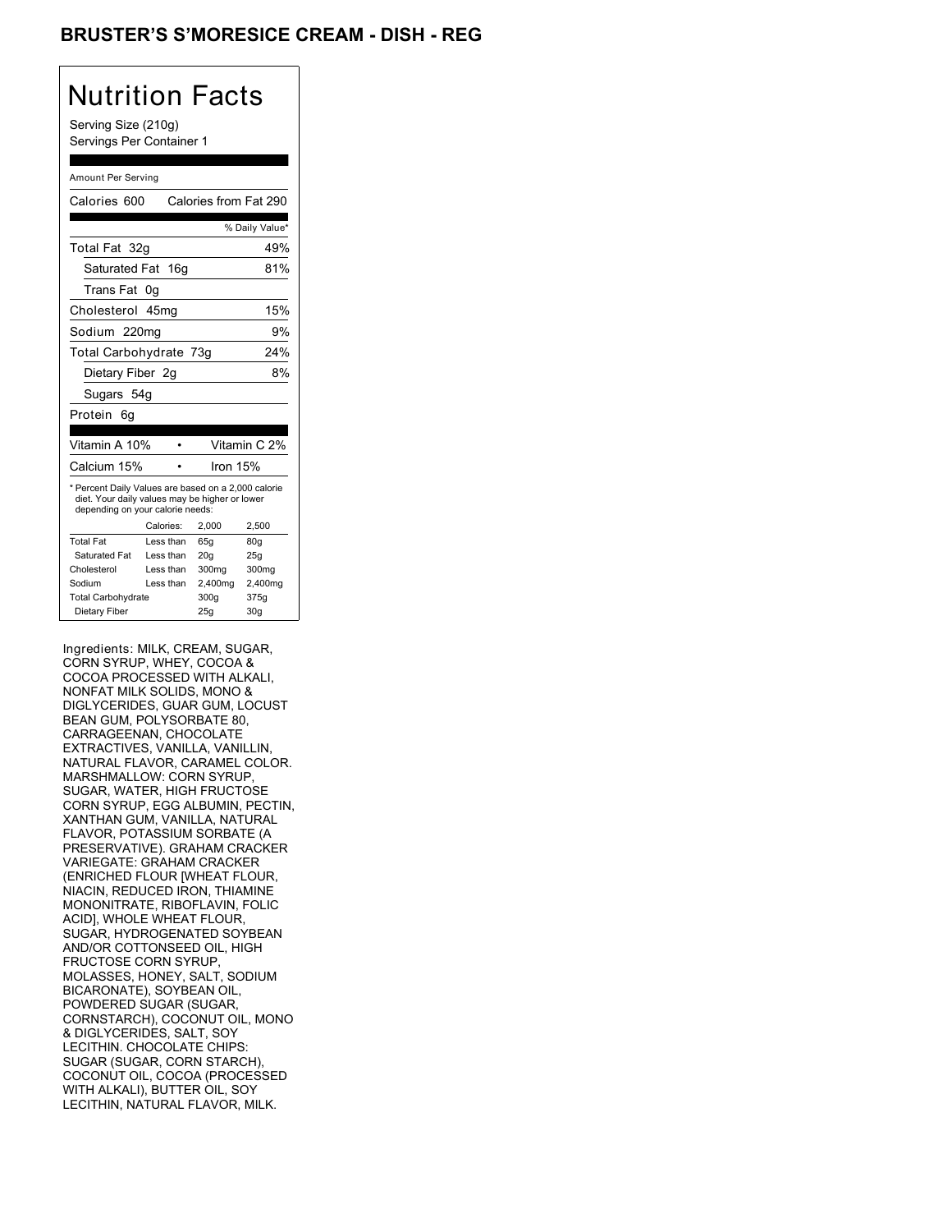## BRUSTER'S S'MORESICE CREAM - DISH - REG

## Nutrition Facts

Serving Size (210g) Servings Per Container 1

#### Amount Per Serving

| Calories 600                                                                                                                                           |           | Calories from Fat 290 |                 |
|--------------------------------------------------------------------------------------------------------------------------------------------------------|-----------|-----------------------|-----------------|
|                                                                                                                                                        |           |                       | % Daily Value*  |
| Total Fat 32q                                                                                                                                          |           |                       | 49%             |
| Saturated Fat 16g                                                                                                                                      |           |                       | 81%             |
| Trans Fat                                                                                                                                              | 0g        |                       |                 |
| Cholesterol 45mg                                                                                                                                       |           |                       | 15%             |
| Sodium 220mg                                                                                                                                           |           |                       | 9%              |
| Total Carbohydrate 73g                                                                                                                                 |           |                       | 24%             |
| Dietary Fiber 2q                                                                                                                                       |           |                       | 8%              |
| Sugars 54g                                                                                                                                             |           |                       |                 |
| Protein<br>6g                                                                                                                                          |           |                       |                 |
|                                                                                                                                                        |           |                       |                 |
| Vitamin A 10%                                                                                                                                          |           |                       | Vitamin C 2%    |
| Calcium 15%                                                                                                                                            |           | Iron 15%              |                 |
| * Percent Daily Values are based on a 2,000 calorie<br>diet. Your daily values may be higher or lower<br>depending on your calorie needs:<br>Calories: |           |                       |                 |
| <b>Total Fat</b>                                                                                                                                       |           | 2,000                 | 2,500           |
|                                                                                                                                                        | Less than | 65g                   | 80 <sub>g</sub> |
| Saturated Fat                                                                                                                                          | Less than | 20q                   | 25g             |
| Cholesterol                                                                                                                                            | Less than | 300 <sub>mg</sub>     | 300mg           |
| Sodium                                                                                                                                                 | Less than | 2,400mg               | 2,400mg         |
| <b>Total Carbohydrate</b>                                                                                                                              |           | 300g                  | 375g            |
| Dietary Fiber                                                                                                                                          |           | 25q                   | 30 <sub>g</sub> |

Ingredients: MILK, CREAM, SUGAR, CORN SYRUP, WHEY, COCOA & COCOA PROCESSED WITH ALKALI, NONFAT MILK SOLIDS, MONO & DIGLYCERIDES, GUAR GUM, LOCUST BEAN GUM, POLYSORBATE 80, CARRAGEENAN, CHOCOLATE EXTRACTIVES, VANILLA, VANILLIN, NATURAL FLAVOR, CARAMEL COLOR. MARSHMALLOW: CORN SYRUP, SUGAR, WATER, HIGH FRUCTOSE CORN SYRUP, EGG ALBUMIN, PECTIN, XANTHAN GUM, VANILLA, NATURAL FLAVOR, POTASSIUM SORBATE (A PRESERVATIVE). GRAHAM CRACKER VARIEGATE: GRAHAM CRACKER (ENRICHED FLOUR [WHEAT FLOUR, NIACIN, REDUCED IRON, THIAMINE MONONITRATE, RIBOFLAVIN, FOLIC ACID], WHOLE WHEAT FLOUR, SUGAR, HYDROGENATED SOYBEAN AND/OR COTTONSEED OIL, HIGH FRUCTOSE CORN SYRUP, MOLASSES, HONEY, SALT, SODIUM BICARONATE), SOYBEAN OIL, POWDERED SUGAR (SUGAR, CORNSTARCH), COCONUT OIL, MONO & DIGLYCERIDES, SALT, SOY LECITHIN. CHOCOLATE CHIPS: SUGAR (SUGAR, CORN STARCH), COCONUT OIL, COCOA (PROCESSED WITH ALKALI), BUTTER OIL, SOY LECITHIN, NATURAL FLAVOR, MILK.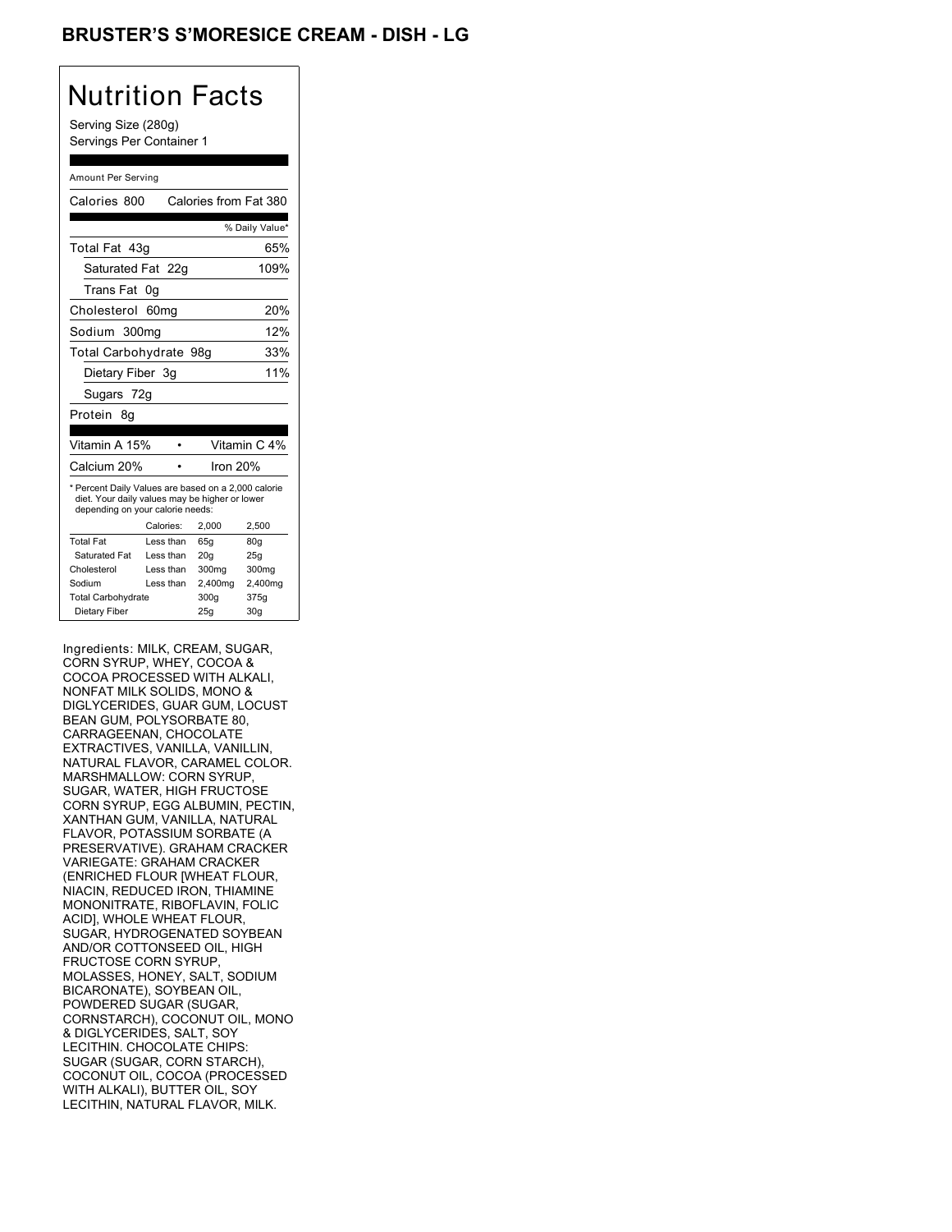## BRUSTER'S S'MORESICE CREAM - DISH - LG

## Nutrition Facts

Serving Size (280g) Servings Per Container 1

#### Amount Per Serving

| Calories 800                                                                                                                                                             |           | Calories from Fat 380 |                 |
|--------------------------------------------------------------------------------------------------------------------------------------------------------------------------|-----------|-----------------------|-----------------|
|                                                                                                                                                                          |           |                       | % Daily Value*  |
| Total Fat 43q                                                                                                                                                            |           |                       | 65%             |
| Saturated Fat 22g                                                                                                                                                        |           |                       | 109%            |
| Trans Fat                                                                                                                                                                | 0g        |                       |                 |
| Cholesterol 60mg                                                                                                                                                         |           |                       | 20%             |
| Sodium 300mg                                                                                                                                                             |           |                       | 12%             |
| Total Carbohydrate 98g                                                                                                                                                   |           |                       | 33%             |
| Dietary Fiber 3g                                                                                                                                                         |           |                       | 11%             |
| Sugars 72g                                                                                                                                                               |           |                       |                 |
| Protein<br>8g                                                                                                                                                            |           |                       |                 |
|                                                                                                                                                                          |           |                       |                 |
| Vitamin A 15%                                                                                                                                                            |           |                       | Vitamin C 4%    |
| Calcium 20%                                                                                                                                                              |           | Iron 20%              |                 |
| * Percent Daily Values are based on a 2,000 calorie<br>diet. Your daily values may be higher or lower<br>depending on your calorie needs:<br>Calories:<br>2.000<br>2,500 |           |                       |                 |
| <b>Total Fat</b>                                                                                                                                                         | Less than | 65q                   | 80q             |
| Saturated Fat                                                                                                                                                            | Less than | 20q                   | 25g             |
| Cholesterol                                                                                                                                                              | Less than | 300mg                 | 300mg           |
| Sodium                                                                                                                                                                   | Less than | 2,400mg               | 2,400mg         |
| <b>Total Carbohydrate</b>                                                                                                                                                |           | 300g                  | 375g            |
| Dietary Fiber                                                                                                                                                            |           | 25g                   | 30 <sub>g</sub> |

Ingredients: MILK, CREAM, SUGAR, CORN SYRUP, WHEY, COCOA & COCOA PROCESSED WITH ALKALI, NONFAT MILK SOLIDS, MONO & DIGLYCERIDES, GUAR GUM, LOCUST BEAN GUM, POLYSORBATE 80, CARRAGEENAN, CHOCOLATE EXTRACTIVES, VANILLA, VANILLIN, NATURAL FLAVOR, CARAMEL COLOR. MARSHMALLOW: CORN SYRUP, SUGAR, WATER, HIGH FRUCTOSE CORN SYRUP, EGG ALBUMIN, PECTIN, XANTHAN GUM, VANILLA, NATURAL FLAVOR, POTASSIUM SORBATE (A PRESERVATIVE). GRAHAM CRACKER VARIEGATE: GRAHAM CRACKER (ENRICHED FLOUR [WHEAT FLOUR, NIACIN, REDUCED IRON, THIAMINE MONONITRATE, RIBOFLAVIN, FOLIC ACID], WHOLE WHEAT FLOUR, SUGAR, HYDROGENATED SOYBEAN AND/OR COTTONSEED OIL, HIGH FRUCTOSE CORN SYRUP, MOLASSES, HONEY, SALT, SODIUM BICARONATE), SOYBEAN OIL, POWDERED SUGAR (SUGAR, CORNSTARCH), COCONUT OIL, MONO & DIGLYCERIDES, SALT, SOY LECITHIN. CHOCOLATE CHIPS: SUGAR (SUGAR, CORN STARCH), COCONUT OIL, COCOA (PROCESSED WITH ALKALI), BUTTER OIL, SOY LECITHIN, NATURAL FLAVOR, MILK.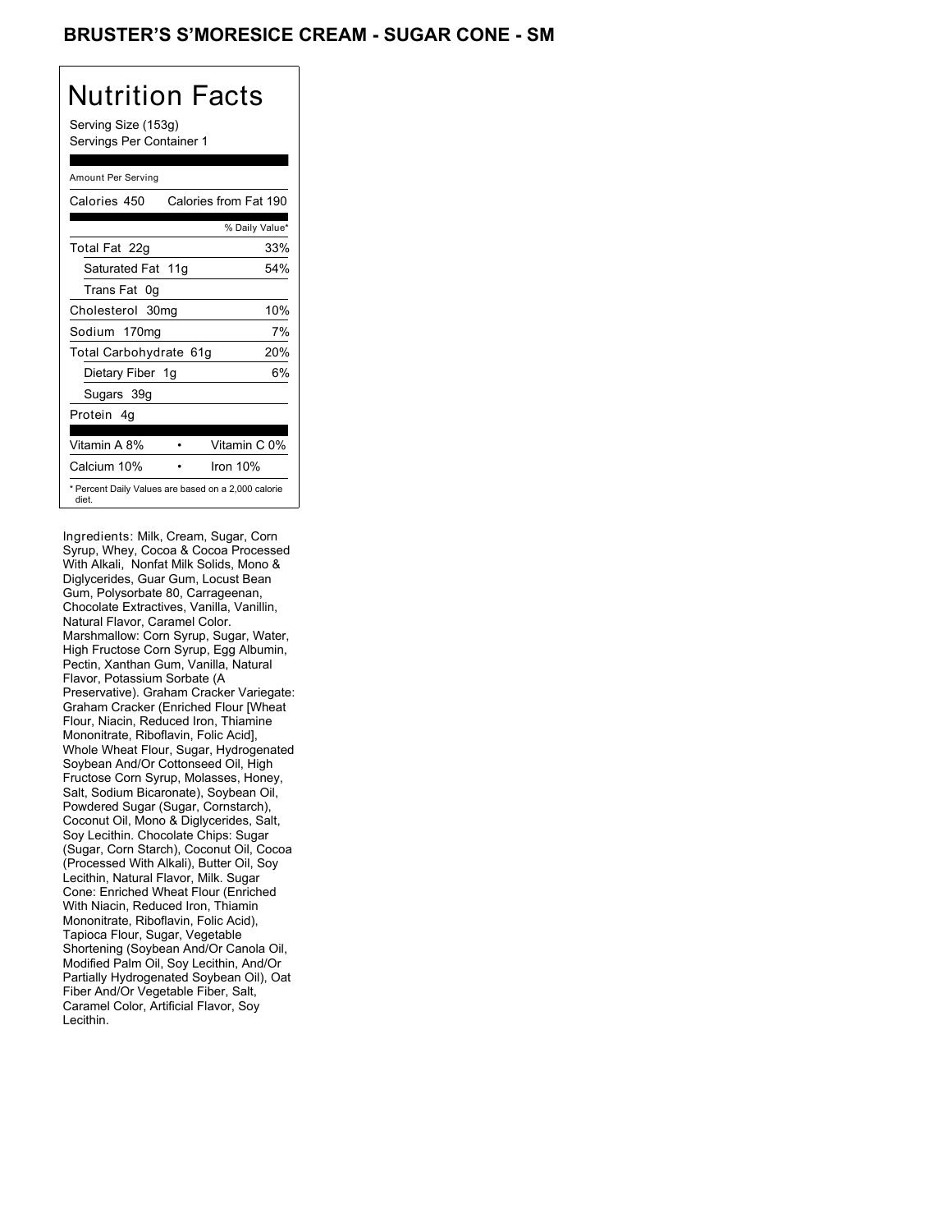## BRUSTER'S S'MORESICE CREAM - SUGAR CONE - SM

# Nutrition Facts

Serving Size (153g) Servings Per Container 1

#### Amount Per Serving

| Calories 450           | Calories from Fat 190                               |
|------------------------|-----------------------------------------------------|
|                        | % Daily Value*                                      |
| Total Fat 22g          | 33%                                                 |
| Saturated Fat 11g      | 54%                                                 |
| Trans Fat 0q           |                                                     |
| Cholesterol 30mg       | 10%                                                 |
| Sodium 170mg           | 7%                                                  |
| Total Carbohydrate 61g | 20%                                                 |
| Dietary Fiber 1g       | 6%                                                  |
| Sugars 39g             |                                                     |
| Protein 4q             |                                                     |
| Vitamin A 8%           | Vitamin C 0%                                        |
| Calcium 10%            | Iron 10%                                            |
| diet.                  | * Percent Daily Values are based on a 2,000 calorie |

Ingredients: Milk, Cream, Sugar, Corn Syrup, Whey, Cocoa & Cocoa Processed With Alkali, Nonfat Milk Solids, Mono & Diglycerides, Guar Gum, Locust Bean Gum, Polysorbate 80, Carrageenan, Chocolate Extractives, Vanilla, Vanillin, Natural Flavor, Caramel Color. Marshmallow: Corn Syrup, Sugar, Water, High Fructose Corn Syrup, Egg Albumin, Pectin, Xanthan Gum, Vanilla, Natural Flavor, Potassium Sorbate (A Preservative). Graham Cracker Variegate: Graham Cracker (Enriched Flour [Wheat Flour, Niacin, Reduced Iron, Thiamine Mononitrate, Riboflavin, Folic Acid], Whole Wheat Flour, Sugar, Hydrogenated Soybean And/Or Cottonseed Oil, High Fructose Corn Syrup, Molasses, Honey, Salt, Sodium Bicaronate), Soybean Oil, Powdered Sugar (Sugar, Cornstarch), Coconut Oil, Mono & Diglycerides, Salt, Soy Lecithin. Chocolate Chips: Sugar (Sugar, Corn Starch), Coconut Oil, Cocoa (Processed With Alkali), Butter Oil, Soy Lecithin, Natural Flavor, Milk. Sugar Cone: Enriched Wheat Flour (Enriched With Niacin, Reduced Iron, Thiamin Mononitrate, Riboflavin, Folic Acid), Tapioca Flour, Sugar, Vegetable Shortening (Soybean And/Or Canola Oil, Modified Palm Oil, Soy Lecithin, And/Or Partially Hydrogenated Soybean Oil), Oat Fiber And/Or Vegetable Fiber, Salt, Caramel Color, Artificial Flavor, Soy Lecithin.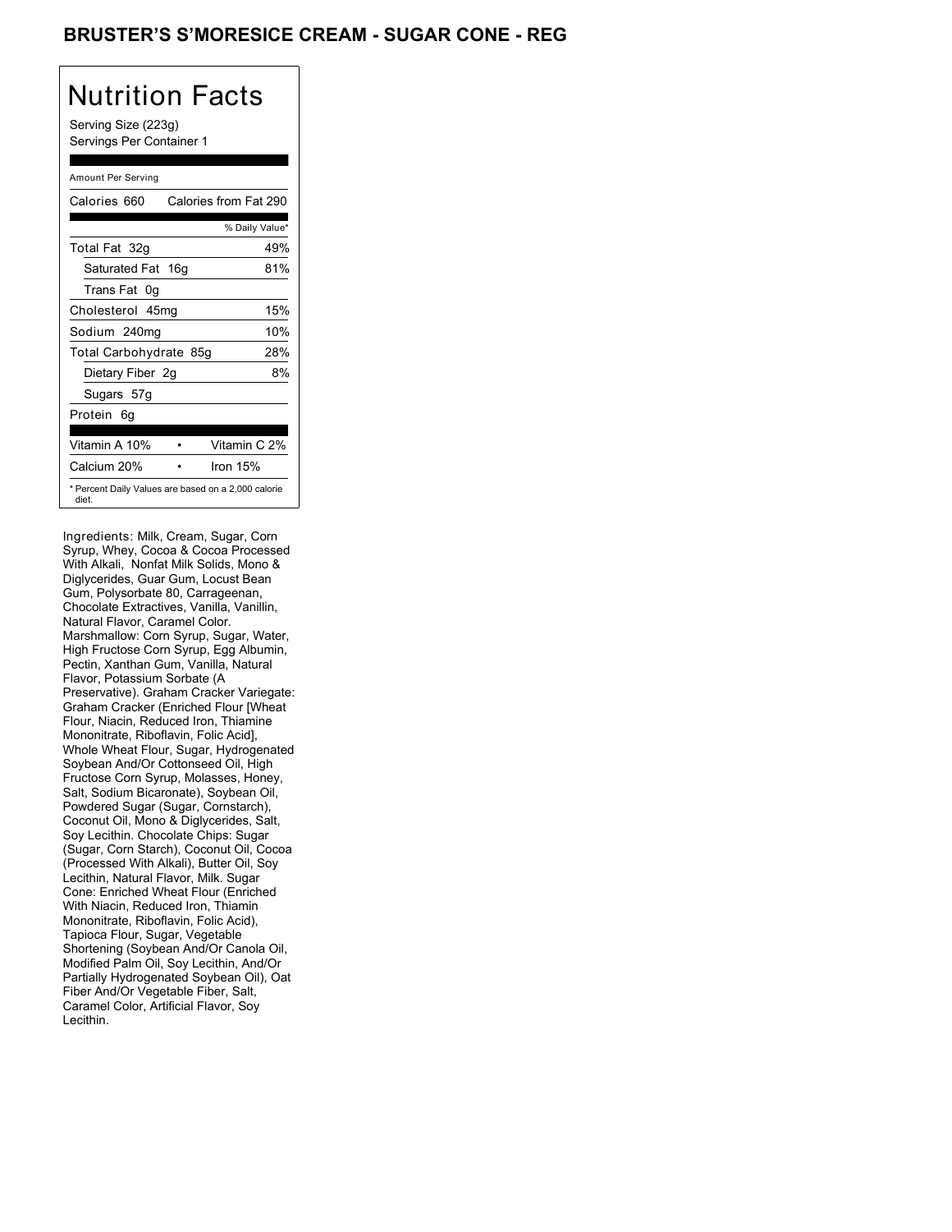## **BRUSTER'S S'MORESICE CREAM - SUGAR CONE - REG**

# Nutrition Facts

Serving Size (223g) Servings Per Container 1

#### Amount Per Serving

| Calories 660           | Calories from Fat 290                               |
|------------------------|-----------------------------------------------------|
|                        | % Daily Value*                                      |
| Total Fat 32g          | 49%                                                 |
| Saturated Fat 16g      | 81%                                                 |
| Trans Fat 0q           |                                                     |
| Cholesterol 45mg       | 15%                                                 |
| Sodium 240mg           | 10%                                                 |
| Total Carbohydrate 85g | 28%                                                 |
| Dietary Fiber 2g       | 8%                                                  |
| Sugars 57g             |                                                     |
| Protein 6q             |                                                     |
|                        |                                                     |
| Vitamin A 10%          | Vitamin C 2%                                        |
| Calcium 20%            | Iron $15%$                                          |
| diet.                  | * Percent Daily Values are based on a 2,000 calorie |

Ingredients: Milk, Cream, Sugar, Corn Syrup, Whey, Cocoa & Cocoa Processed With Alkali, Nonfat Milk Solids, Mono & Diglycerides, Guar Gum, Locust Bean Gum, Polysorbate 80, Carrageenan, Chocolate Extractives, Vanilla, Vanillin, Natural Flavor, Caramel Color. Marshmallow: Corn Syrup, Sugar, Water, High Fructose Corn Syrup, Egg Albumin, Pectin, Xanthan Gum, Vanilla, Natural Flavor, Potassium Sorbate (A Preservative). Graham Cracker Variegate: Graham Cracker (Enriched Flour [Wheat Flour, Niacin, Reduced Iron, Thiamine Mononitrate, Riboflavin, Folic Acid], Whole Wheat Flour, Sugar, Hydrogenated Soybean And/Or Cottonseed Oil, High Fructose Corn Syrup, Molasses, Honey, Salt, Sodium Bicaronate), Soybean Oil, Powdered Sugar (Sugar, Cornstarch), Coconut Oil, Mono & Diglycerides, Salt, Soy Lecithin. Chocolate Chips: Sugar (Sugar, Corn Starch), Coconut Oil, Cocoa (Processed With Alkali), Butter Oil, Soy Lecithin, Natural Flavor, Milk. Sugar Cone: Enriched Wheat Flour (Enriched With Niacin, Reduced Iron, Thiamin Mononitrate, Riboflavin, Folic Acid), Tapioca Flour, Sugar, Vegetable Shortening (Soybean And/Or Canola Oil, Modified Palm Oil, Soy Lecithin, And/Or Partially Hydrogenated Soybean Oil), Oat Fiber And/Or Vegetable Fiber, Salt, Caramel Color, Artificial Flavor, Soy Lecithin.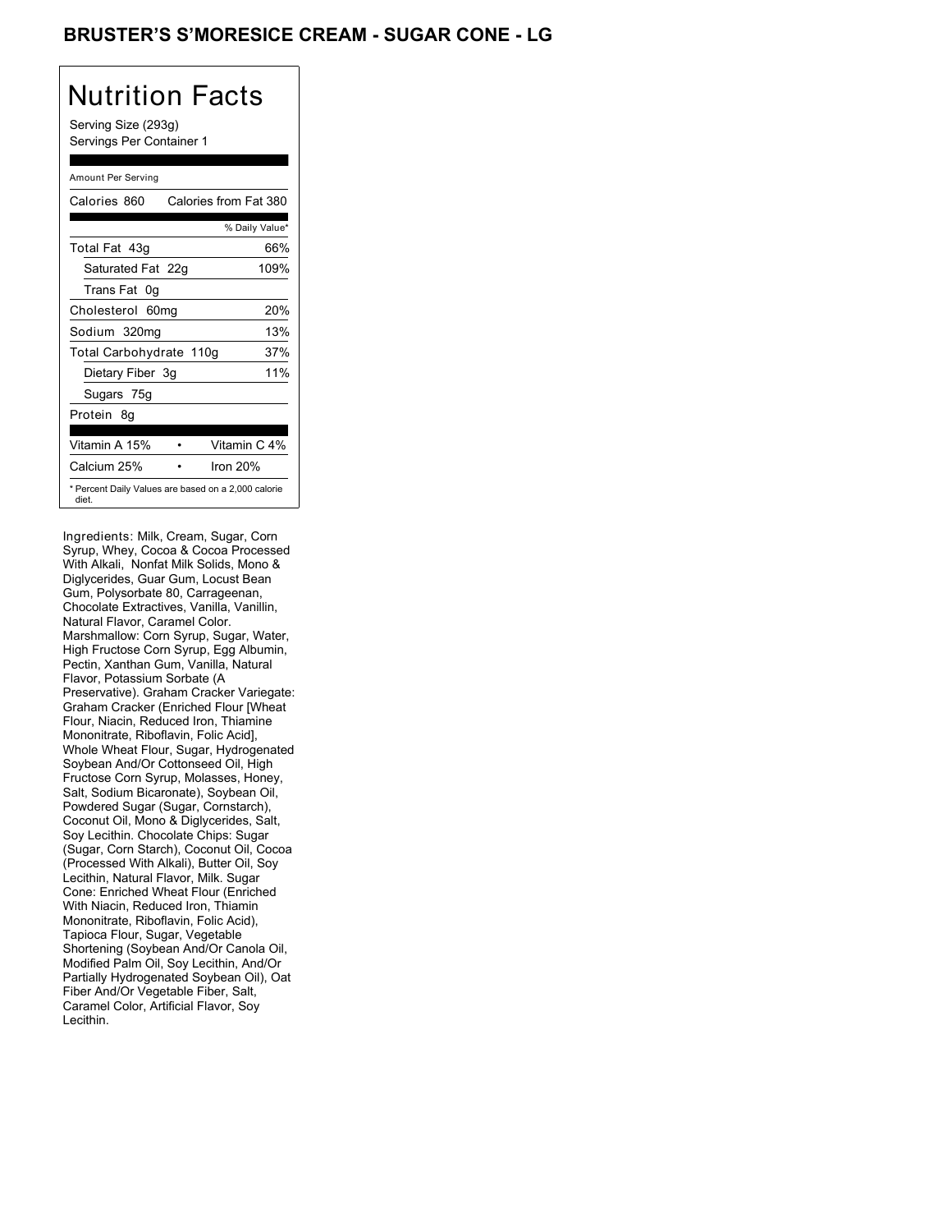## BRUSTER'S S'MORESICE CREAM - SUGAR CONE - LG

# Nutrition Facts

Serving Size (293g) Servings Per Container 1

#### Amount Per Serving

| Calories 860            | Calories from Fat 380                               |
|-------------------------|-----------------------------------------------------|
|                         | % Daily Value*                                      |
| Total Fat 43q           | 66%                                                 |
| Saturated Fat 22g       | 109%                                                |
| Trans Fat 0q            |                                                     |
| Cholesterol 60mg        | 20%                                                 |
| Sodium 320mg            | 13%                                                 |
| Total Carbohydrate 110g | 37%                                                 |
| Dietary Fiber 3g        | 11%                                                 |
| Sugars 75g              |                                                     |
| Protein 8q              |                                                     |
|                         |                                                     |
| Vitamin A 15%           | Vitamin C 4%                                        |
| Calcium 25%             | Iron 20%                                            |
| diet.                   | * Percent Daily Values are based on a 2,000 calorie |

Ingredients: Milk, Cream, Sugar, Corn Syrup, Whey, Cocoa & Cocoa Processed With Alkali, Nonfat Milk Solids, Mono & Diglycerides, Guar Gum, Locust Bean Gum, Polysorbate 80, Carrageenan, Chocolate Extractives, Vanilla, Vanillin, Natural Flavor, Caramel Color. Marshmallow: Corn Syrup, Sugar, Water, High Fructose Corn Syrup, Egg Albumin, Pectin, Xanthan Gum, Vanilla, Natural Flavor, Potassium Sorbate (A Preservative). Graham Cracker Variegate: Graham Cracker (Enriched Flour [Wheat Flour, Niacin, Reduced Iron, Thiamine Mononitrate, Riboflavin, Folic Acid], Whole Wheat Flour, Sugar, Hydrogenated Soybean And/Or Cottonseed Oil, High Fructose Corn Syrup, Molasses, Honey, Salt, Sodium Bicaronate), Soybean Oil, Powdered Sugar (Sugar, Cornstarch), Coconut Oil, Mono & Diglycerides, Salt, Soy Lecithin. Chocolate Chips: Sugar (Sugar, Corn Starch), Coconut Oil, Cocoa (Processed With Alkali), Butter Oil, Soy Lecithin, Natural Flavor, Milk. Sugar Cone: Enriched Wheat Flour (Enriched With Niacin, Reduced Iron, Thiamin Mononitrate, Riboflavin, Folic Acid), Tapioca Flour, Sugar, Vegetable Shortening (Soybean And/Or Canola Oil, Modified Palm Oil, Soy Lecithin, And/Or Partially Hydrogenated Soybean Oil), Oat Fiber And/Or Vegetable Fiber, Salt, Caramel Color, Artificial Flavor, Soy Lecithin.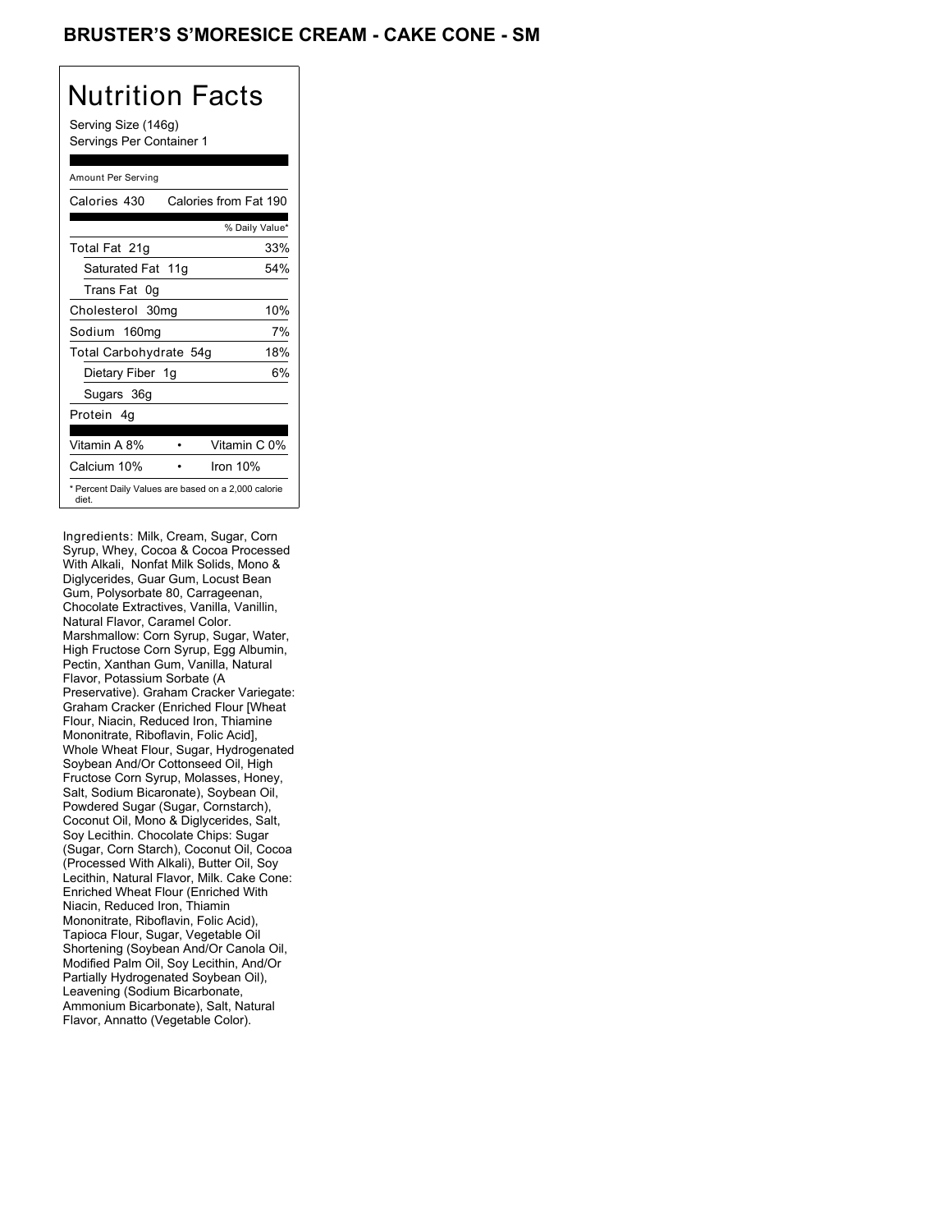## BRUSTER'S S'MORESICE CREAM - CAKE CONE - SM

## Nutrition Facts

Serving Size (146g) Servings Per Container 1

#### Amount Per Serving

| Calories from Fat 190 |
|-----------------------|
| % Daily Value*        |
| 33%                   |
| 54%                   |
|                       |
| 10%                   |
| 7%                    |
| 18%                   |
| 6%                    |
|                       |
|                       |
| Vitamin C 0%          |
| Iron $10%$            |
|                       |

Ingredients: Milk, Cream, Sugar, Corn Syrup, Whey, Cocoa & Cocoa Processed With Alkali, Nonfat Milk Solids, Mono & Diglycerides, Guar Gum, Locust Bean Gum, Polysorbate 80, Carrageenan, Chocolate Extractives, Vanilla, Vanillin, Natural Flavor, Caramel Color. Marshmallow: Corn Syrup, Sugar, Water, High Fructose Corn Syrup, Egg Albumin, Pectin, Xanthan Gum, Vanilla, Natural Flavor, Potassium Sorbate (A Preservative). Graham Cracker Variegate: Graham Cracker (Enriched Flour [Wheat Flour, Niacin, Reduced Iron, Thiamine Mononitrate, Riboflavin, Folic Acid], Whole Wheat Flour, Sugar, Hydrogenated Soybean And/Or Cottonseed Oil, High Fructose Corn Syrup, Molasses, Honey, Salt, Sodium Bicaronate), Soybean Oil, Powdered Sugar (Sugar, Cornstarch), Coconut Oil, Mono & Diglycerides, Salt, Soy Lecithin. Chocolate Chips: Sugar (Sugar, Corn Starch), Coconut Oil, Cocoa (Processed With Alkali), Butter Oil, Soy Lecithin, Natural Flavor, Milk. Cake Cone: Enriched Wheat Flour (Enriched With Niacin, Reduced Iron, Thiamin Mononitrate, Riboflavin, Folic Acid), Tapioca Flour, Sugar, Vegetable Oil Shortening (Soybean And/Or Canola Oil, Modified Palm Oil, Soy Lecithin, And/Or Partially Hydrogenated Soybean Oil), Leavening (Sodium Bicarbonate, Ammonium Bicarbonate), Salt, Natural Flavor, Annatto (Vegetable Color).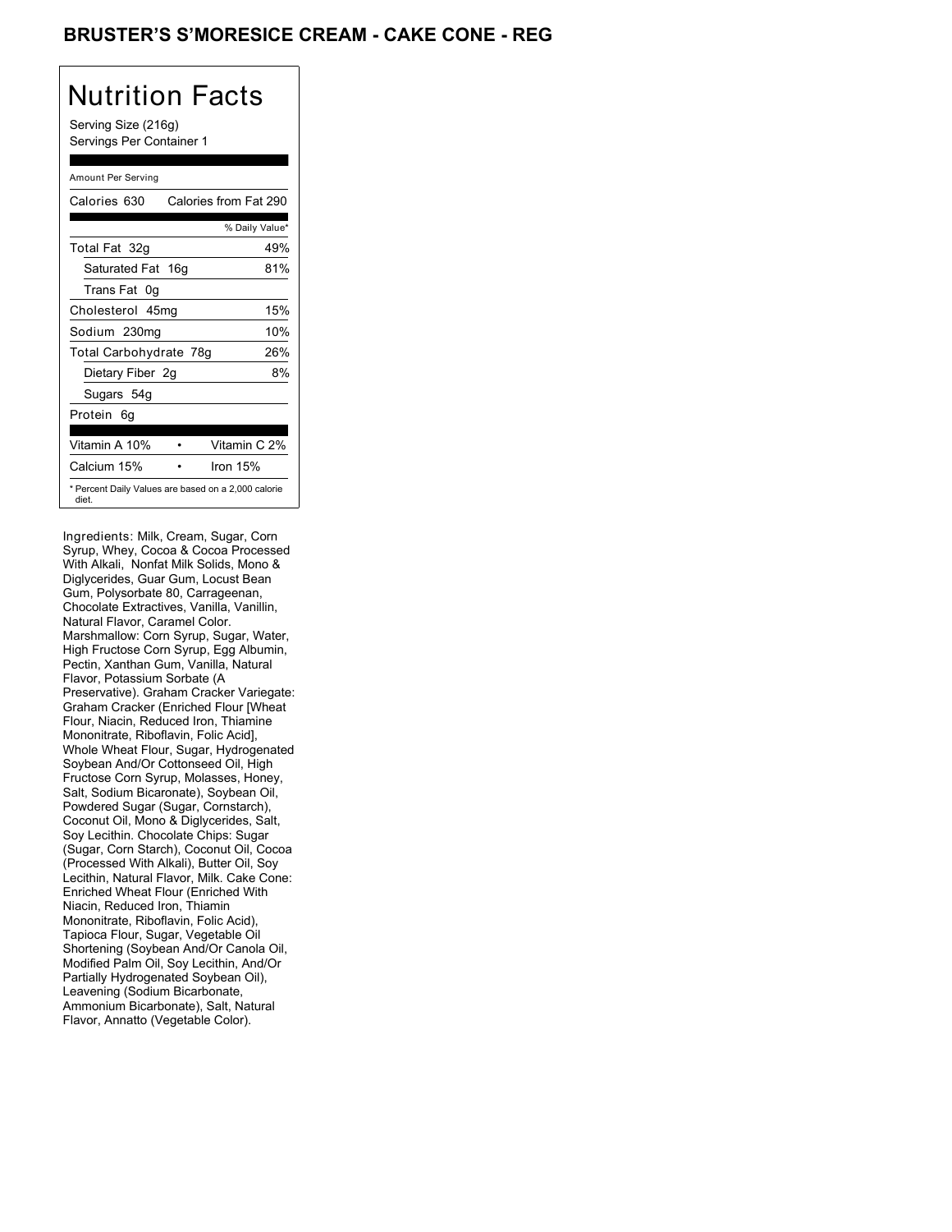## **BRUSTER'S S'MORESICE CREAM - CAKE CONE - REG**

# Nutrition Facts

Serving Size (216g) Servings Per Container 1

#### Amount Per Serving

| Calories 630           | Calories from Fat 290                               |
|------------------------|-----------------------------------------------------|
|                        | % Daily Value*                                      |
| Total Fat 32g          | 49%                                                 |
| Saturated Fat 16g      | 81%                                                 |
| Trans Fat 0q           |                                                     |
| Cholesterol 45mg       | 15%                                                 |
| Sodium 230mg           | 10%                                                 |
| Total Carbohydrate 78g | 26%                                                 |
| Dietary Fiber 2g       | 8%                                                  |
| Sugars 54g             |                                                     |
| Protein 6q             |                                                     |
|                        |                                                     |
| Vitamin A 10%          | Vitamin C 2%                                        |
| Calcium 15%            | Iron 15%                                            |
| diet.                  | * Percent Daily Values are based on a 2,000 calorie |

Ingredients: Milk, Cream, Sugar, Corn Syrup, Whey, Cocoa & Cocoa Processed With Alkali, Nonfat Milk Solids, Mono & Diglycerides, Guar Gum, Locust Bean Gum, Polysorbate 80, Carrageenan, Chocolate Extractives, Vanilla, Vanillin, Natural Flavor, Caramel Color. Marshmallow: Corn Syrup, Sugar, Water, High Fructose Corn Syrup, Egg Albumin, Pectin, Xanthan Gum, Vanilla, Natural Flavor, Potassium Sorbate (A Preservative). Graham Cracker Variegate: Graham Cracker (Enriched Flour [Wheat Flour, Niacin, Reduced Iron, Thiamine Mononitrate, Riboflavin, Folic Acid], Whole Wheat Flour, Sugar, Hydrogenated Soybean And/Or Cottonseed Oil, High Fructose Corn Syrup, Molasses, Honey, Salt, Sodium Bicaronate), Soybean Oil, Powdered Sugar (Sugar, Cornstarch), Coconut Oil, Mono & Diglycerides, Salt, Soy Lecithin. Chocolate Chips: Sugar (Sugar, Corn Starch), Coconut Oil, Cocoa (Processed With Alkali), Butter Oil, Soy Lecithin, Natural Flavor, Milk. Cake Cone: Enriched Wheat Flour (Enriched With Niacin, Reduced Iron, Thiamin Mononitrate, Riboflavin, Folic Acid), Tapioca Flour, Sugar, Vegetable Oil Shortening (Soybean And/Or Canola Oil, Modified Palm Oil, Soy Lecithin, And/Or Partially Hydrogenated Soybean Oil), Leavening (Sodium Bicarbonate, Ammonium Bicarbonate), Salt, Natural Flavor, Annatto (Vegetable Color).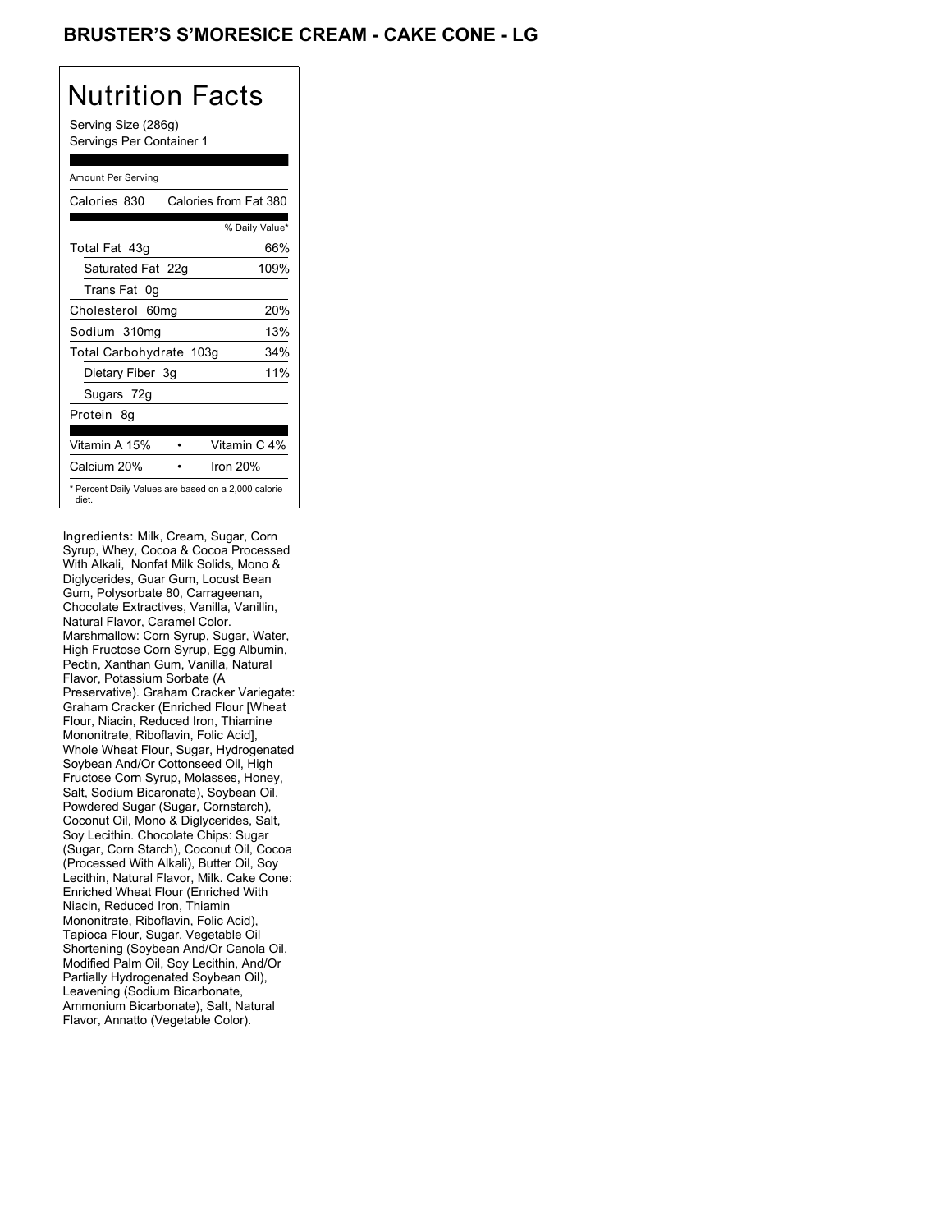## BRUSTER'S S'MORESICE CREAM - CAKE CONE - LG

# Nutrition Facts

Serving Size (286g) Servings Per Container 1

#### Amount Per Serving

| Calories 830            | Calories from Fat 380                               |
|-------------------------|-----------------------------------------------------|
|                         | % Daily Value*                                      |
| Total Fat 43q           | 66%                                                 |
| Saturated Fat 22g       | 109%                                                |
| Trans Fat 0q            |                                                     |
| Cholesterol 60mg        | 20%                                                 |
| Sodium 310mg            | 13%                                                 |
| Total Carbohydrate 103g | 34%                                                 |
| Dietary Fiber 3g        | 11%                                                 |
| Sugars 72g              |                                                     |
| Protein 8q              |                                                     |
|                         |                                                     |
| Vitamin A 15%           | Vitamin C 4%                                        |
| Calcium 20%             | Iron 20%                                            |
| diet.                   | * Percent Daily Values are based on a 2,000 calorie |

Ingredients: Milk, Cream, Sugar, Corn Syrup, Whey, Cocoa & Cocoa Processed With Alkali, Nonfat Milk Solids, Mono & Diglycerides, Guar Gum, Locust Bean Gum, Polysorbate 80, Carrageenan, Chocolate Extractives, Vanilla, Vanillin, Natural Flavor, Caramel Color. Marshmallow: Corn Syrup, Sugar, Water, High Fructose Corn Syrup, Egg Albumin, Pectin, Xanthan Gum, Vanilla, Natural Flavor, Potassium Sorbate (A Preservative). Graham Cracker Variegate: Graham Cracker (Enriched Flour [Wheat Flour, Niacin, Reduced Iron, Thiamine Mononitrate, Riboflavin, Folic Acid], Whole Wheat Flour, Sugar, Hydrogenated Soybean And/Or Cottonseed Oil, High Fructose Corn Syrup, Molasses, Honey, Salt, Sodium Bicaronate), Soybean Oil, Powdered Sugar (Sugar, Cornstarch), Coconut Oil, Mono & Diglycerides, Salt, Soy Lecithin. Chocolate Chips: Sugar (Sugar, Corn Starch), Coconut Oil, Cocoa (Processed With Alkali), Butter Oil, Soy Lecithin, Natural Flavor, Milk. Cake Cone: Enriched Wheat Flour (Enriched With Niacin, Reduced Iron, Thiamin Mononitrate, Riboflavin, Folic Acid), Tapioca Flour, Sugar, Vegetable Oil Shortening (Soybean And/Or Canola Oil, Modified Palm Oil, Soy Lecithin, And/Or Partially Hydrogenated Soybean Oil), Leavening (Sodium Bicarbonate, Ammonium Bicarbonate), Salt, Natural Flavor, Annatto (Vegetable Color).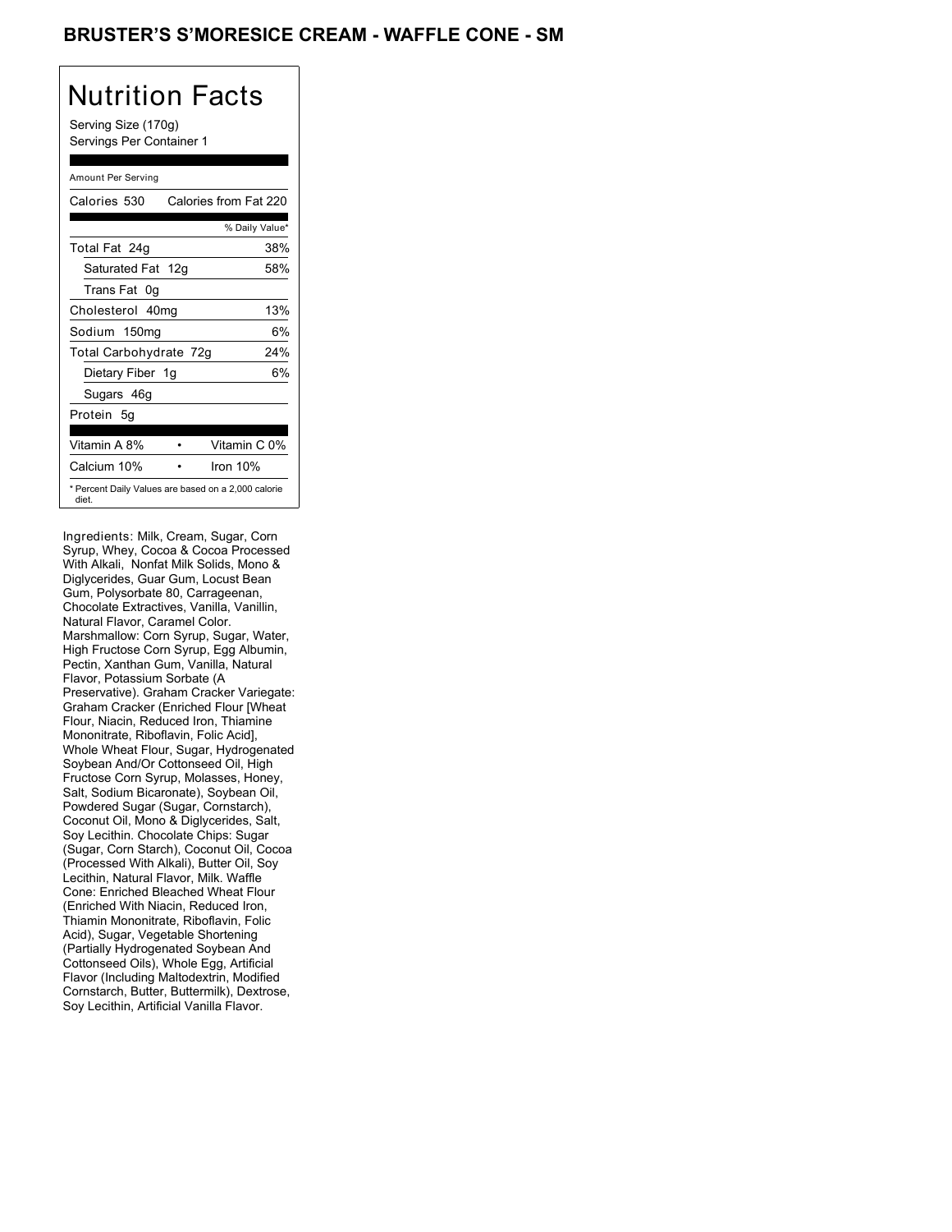## BRUSTER'S S'MORESICE CREAM - WAFFLE CONE - SM

# Nutrition Facts

Serving Size (170g) Servings Per Container 1

#### Amount Per Serving

| Calories 530           | Calories from Fat 220                               |
|------------------------|-----------------------------------------------------|
|                        | % Daily Value*                                      |
| Total Fat 24g          | 38%                                                 |
| Saturated Fat 12g      | 58%                                                 |
| Trans Fat 0g           |                                                     |
| Cholesterol 40mg       | 13%                                                 |
| Sodium 150mg           | 6%                                                  |
| Total Carbohydrate 72g | 24%                                                 |
| Dietary Fiber 1g       | 6%                                                  |
| Sugars 46g             |                                                     |
| Protein 5q             |                                                     |
| Vitamin A 8%           | Vitamin C 0%                                        |
| Calcium 10%            | Iron 10%                                            |
| diet.                  | * Percent Daily Values are based on a 2,000 calorie |

Ingredients: Milk, Cream, Sugar, Corn Syrup, Whey, Cocoa & Cocoa Processed With Alkali, Nonfat Milk Solids, Mono & Diglycerides, Guar Gum, Locust Bean Gum, Polysorbate 80, Carrageenan, Chocolate Extractives, Vanilla, Vanillin, Natural Flavor, Caramel Color. Marshmallow: Corn Syrup, Sugar, Water, High Fructose Corn Syrup, Egg Albumin, Pectin, Xanthan Gum, Vanilla, Natural Flavor, Potassium Sorbate (A Preservative). Graham Cracker Variegate: Graham Cracker (Enriched Flour [Wheat Flour, Niacin, Reduced Iron, Thiamine Mononitrate, Riboflavin, Folic Acid], Whole Wheat Flour, Sugar, Hydrogenated Soybean And/Or Cottonseed Oil, High Fructose Corn Syrup, Molasses, Honey, Salt, Sodium Bicaronate), Soybean Oil, Powdered Sugar (Sugar, Cornstarch), Coconut Oil, Mono & Diglycerides, Salt, Soy Lecithin. Chocolate Chips: Sugar (Sugar, Corn Starch), Coconut Oil, Cocoa (Processed With Alkali), Butter Oil, Soy Lecithin, Natural Flavor, Milk. Waffle Cone: Enriched Bleached Wheat Flour (Enriched With Niacin, Reduced Iron, Thiamin Mononitrate, Riboflavin, Folic Acid), Sugar, Vegetable Shortening (Partially Hydrogenated Soybean And Cottonseed Oils), Whole Egg, Artificial Flavor (Including Maltodextrin, Modified Cornstarch, Butter, Buttermilk), Dextrose, Soy Lecithin, Artificial Vanilla Flavor.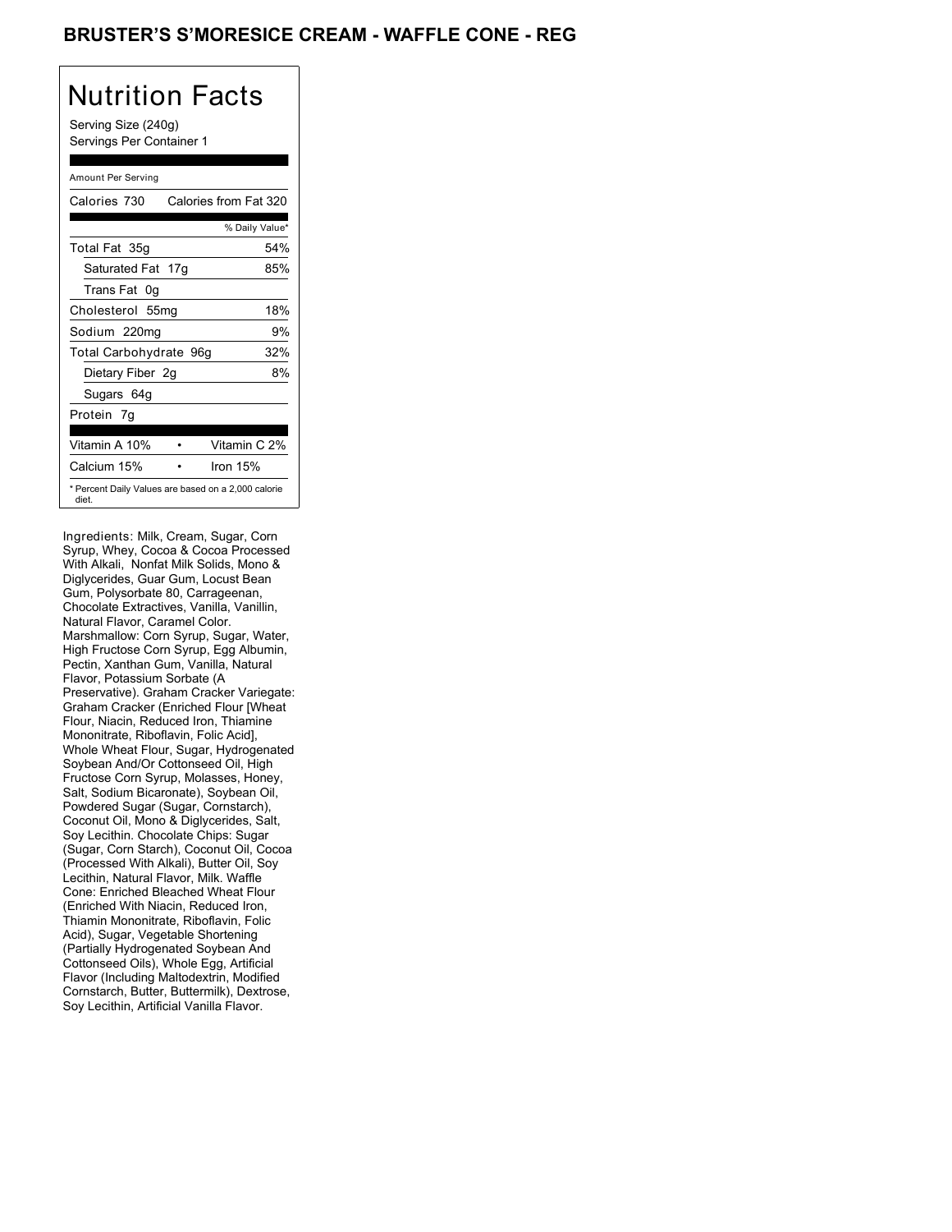## BRUSTER'S S'MORESICE CREAM - WAFFLE CONE - REG

# Nutrition Facts

Serving Size (240g) Servings Per Container 1

#### Amount Per Serving

| Calories 730           | Calories from Fat 320                               |
|------------------------|-----------------------------------------------------|
|                        | % Daily Value*                                      |
| Total Fat 35g          | 54%                                                 |
| Saturated Fat 17g      | 85%                                                 |
| Trans Fat 0q           |                                                     |
| Cholesterol 55mg       | 18%                                                 |
| Sodium 220mg           | 9%                                                  |
| Total Carbohydrate 96g | 32%                                                 |
| Dietary Fiber 2g       | 8%                                                  |
| Sugars 64g             |                                                     |
| Protein 7q             |                                                     |
|                        |                                                     |
| Vitamin A 10%          | Vitamin C 2%                                        |
| Calcium 15%            | lron 15%                                            |
| diet.                  | * Percent Daily Values are based on a 2,000 calorie |

Ingredients: Milk, Cream, Sugar, Corn Syrup, Whey, Cocoa & Cocoa Processed With Alkali, Nonfat Milk Solids, Mono & Diglycerides, Guar Gum, Locust Bean Gum, Polysorbate 80, Carrageenan, Chocolate Extractives, Vanilla, Vanillin, Natural Flavor, Caramel Color. Marshmallow: Corn Syrup, Sugar, Water, High Fructose Corn Syrup, Egg Albumin, Pectin, Xanthan Gum, Vanilla, Natural Flavor, Potassium Sorbate (A Preservative). Graham Cracker Variegate: Graham Cracker (Enriched Flour [Wheat Flour, Niacin, Reduced Iron, Thiamine Mononitrate, Riboflavin, Folic Acid], Whole Wheat Flour, Sugar, Hydrogenated Soybean And/Or Cottonseed Oil, High Fructose Corn Syrup, Molasses, Honey, Salt, Sodium Bicaronate), Soybean Oil, Powdered Sugar (Sugar, Cornstarch), Coconut Oil, Mono & Diglycerides, Salt, Soy Lecithin. Chocolate Chips: Sugar (Sugar, Corn Starch), Coconut Oil, Cocoa (Processed With Alkali), Butter Oil, Soy Lecithin, Natural Flavor, Milk. Waffle Cone: Enriched Bleached Wheat Flour (Enriched With Niacin, Reduced Iron, Thiamin Mononitrate, Riboflavin, Folic Acid), Sugar, Vegetable Shortening (Partially Hydrogenated Soybean And Cottonseed Oils), Whole Egg, Artificial Flavor (Including Maltodextrin, Modified Cornstarch, Butter, Buttermilk), Dextrose, Soy Lecithin, Artificial Vanilla Flavor.